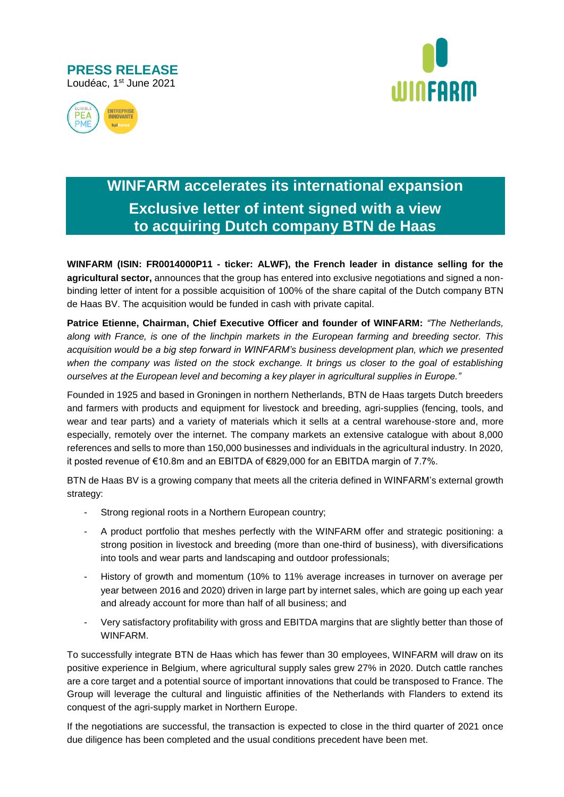





## **WINFARM accelerates its international expansion Exclusive letter of intent signed with a view to acquiring Dutch company BTN de Haas**

**WINFARM (ISIN: FR0014000P11 - ticker: ALWF), the French leader in distance selling for the agricultural sector,** announces that the group has entered into exclusive negotiations and signed a nonbinding letter of intent for a possible acquisition of 100% of the share capital of the Dutch company BTN de Haas BV. The acquisition would be funded in cash with private capital.

**Patrice Etienne, Chairman, Chief Executive Officer and founder of WINFARM:** *"The Netherlands, along with France, is one of the linchpin markets in the European farming and breeding sector. This acquisition would be a big step forward in WINFARM's business development plan, which we presented when the company was listed on the stock exchange. It brings us closer to the goal of establishing ourselves at the European level and becoming a key player in agricultural supplies in Europe."*

Founded in 1925 and based in Groningen in northern Netherlands, BTN de Haas targets Dutch breeders and farmers with products and equipment for livestock and breeding, agri-supplies (fencing, tools, and wear and tear parts) and a variety of materials which it sells at a central warehouse-store and, more especially, remotely over the internet. The company markets an extensive catalogue with about 8,000 references and sells to more than 150,000 businesses and individuals in the agricultural industry. In 2020, it posted revenue of €10.8m and an EBITDA of €829,000 for an EBITDA margin of 7.7%.

BTN de Haas BV is a growing company that meets all the criteria defined in WINFARM's external growth strategy:

- Strong regional roots in a Northern European country;
- A product portfolio that meshes perfectly with the WINFARM offer and strategic positioning: a strong position in livestock and breeding (more than one-third of business), with diversifications into tools and wear parts and landscaping and outdoor professionals;
- History of growth and momentum (10% to 11% average increases in turnover on average per year between 2016 and 2020) driven in large part by internet sales, which are going up each year and already account for more than half of all business; and
- Very satisfactory profitability with gross and EBITDA margins that are slightly better than those of WINFARM.

To successfully integrate BTN de Haas which has fewer than 30 employees, WINFARM will draw on its positive experience in Belgium, where agricultural supply sales grew 27% in 2020. Dutch cattle ranches are a core target and a potential source of important innovations that could be transposed to France. The Group will leverage the cultural and linguistic affinities of the Netherlands with Flanders to extend its conquest of the agri-supply market in Northern Europe.

If the negotiations are successful, the transaction is expected to close in the third quarter of 2021 once due diligence has been completed and the usual conditions precedent have been met.